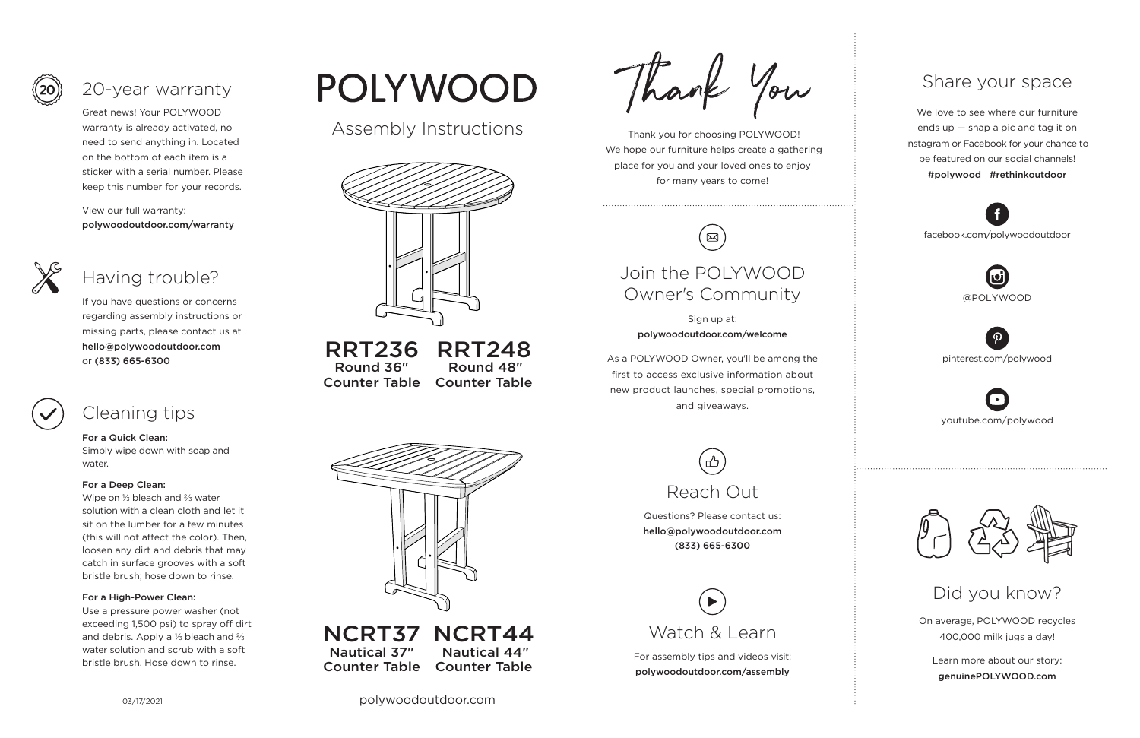03/17/2021 polywoodoutdoor.com

 Thank you for choosing POLYWOOD! We hope our furniture helps create a gathering place for you and your loved ones to enjoy for many years to come!



On average, POLYWOOD recycles 400,000 milk jugs a day!

Learn more about our story: genuinePOLYWOOD.com

We love to see where our furniture ends up — snap a pic and tag it on Instagram or Facebook for your chance to be featured on our social channels! #polywood #rethinkoutdoor



youtube.com/polywood



pinterest.com/polywood



facebook.com/polywoodoutdoor





### Share your space

Did you know?

Great news! Your POLYWOOD warranty is already activated, no need to send anything in. Located on the bottom of each item is a sticker with a serial number. Please keep this number for your records.

View our full warranty: polywoodoutdoor.com/warranty



#### For a Quick Clean:

Simply wipe down with soap and water.

#### For a Deep Clean:

Wipe on ⅓ bleach and ⅔ water solution with a clean cloth and let it sit on the lumber for a few minutes (this will not affect the color). Then, loosen any dirt and debris that may catch in surface grooves with a soft bristle brush; hose down to rinse.

#### For a High-Power Clean:

Use a pressure power washer (not exceeding 1,500 psi) to spray off dirt and debris. Apply a ⅓ bleach and ⅔ water solution and scrub with a soft bristle brush. Hose down to rinse.

# POLYWOOD

If you have questions or concerns regarding assembly instructions or missing parts, please contact us at hello@polywoodoutdoor.com or (833) 665-6300



## 20-year warranty

## Having trouble?

## Cleaning tips

For assembly tips and videos visit: polywoodoutdoor.com/assembly



Sign up at: polywoodoutdoor.com/welcome

As a POLYWOOD Owner, you'll be among the first to access exclusive information about new product launches, special promotions, and giveaways.

## Join the POLYWOOD Owner's Community

Questions? Please contact us: hello@polywoodoutdoor.com (833) 665-6300



Assembly Instructions



RRT236 Round 36" Counter Table RRT248 Round 48" Counter Table



NCRT37 NCRT44 Nautical 37" Counter Table Nautical 44" Counter Table